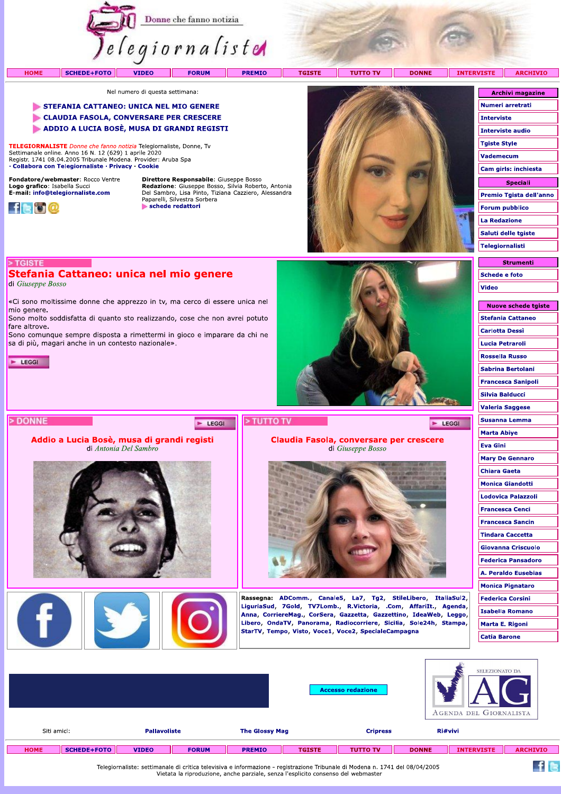

Nel numero di questa settimana:

### STEFANIA CATTANEO: UNICA NEL MIO GENERE

CLAUDIA FASOLA, CONVERSARE PER CRESCERE

ADDIO A LUCIA BOSÈ, MUSA DI GRANDI REGISTI

TELEGIORNALISTE Donne che fanno notizia Telegiornaliste, Donne, Tv Settimanale online. Anno 16 N. 12 (629) 1 aprile 2020<br>Registr. 1741 08.04.2005 Tribunale Modena. Provider: Aruba Spa · Collabora con Telegiornaliste · Privacy · Cookie

Stefania Cattaneo: unica nel mio genere

di Antonia Del Sambro

sa di più, magari anche in un contesto nazionale».

«Ci sono moltissime donne che apprezzo in tv, ma cerco di essere unica nel

Sono molto soddisfatta di quanto sto realizzando, cose che non avrei potuto

Sono comunque sempre disposta a rimettermi in gioco e imparare da chi ne

Fondatore/webmaster: Rocco Ventre Logo grafico: Isabella Succi<br>E-mail: info@telegiornaliste.com



> TGISTE

mio genere.

fare altrove.

 $\blacktriangleright$  LEGGI

> DONNE

di Giuseppe Bosso

Direttore Responsabile: Giuseppe Bosso France Consequence Bosso, Silvia Roberto, Antonia<br>
Del Sambro, Lisa Pinto, Tiziana Cazziero, Alessandra<br>
Paparelli, Silvestra Sorbera schede redattori



| Numeri arretrati                                                        |
|-------------------------------------------------------------------------|
| <b>Interviste</b>                                                       |
| <b>Interviste audio</b>                                                 |
| <b>Tgiste Style</b>                                                     |
| <b>Vademecum</b>                                                        |
| Cam girls: inchiesta                                                    |
|                                                                         |
| Speciali                                                                |
|                                                                         |
|                                                                         |
| <b>La Redazione</b>                                                     |
| Premio Tgista dell'anno<br><b>Forum pubblico</b><br>Saluti delle tgiste |
| <b>Telegiornalisti</b>                                                  |

**Archivi magazine** 



| <b>NUOVE SCREUE LYISLE</b> |
|----------------------------|
| <b>Stefania Cattaneo</b>   |
| Carlotta Dessì             |
| Lucia Petraroli            |
| <b>Rossella Russo</b>      |
| Sabrina Bertolani          |
| <b>Francesca Sanipoli</b>  |
| Silvia Balducci            |
| <b>Valeria Saggese</b>     |
| Susanna Lemma              |
| Marta Abiye                |
| <b>Eva Gini</b>            |
| <b>Mary De Gennaro</b>     |
| <b>Chiara Gaeta</b>        |
| <b>Monica Giandotti</b>    |
| Lodovica Palazzoli         |
| <b>Francesca Cenci</b>     |
| <b>Francesca Sancin</b>    |
| <b>Tindara Caccetta</b>    |
| <b>Giovanna Criscuolo</b>  |
| <b>Federica Pansadoro</b>  |
| A. Peraldo Eusebias        |
| <b>Monica Pignataro</b>    |
| <b>Federica Corsini</b>    |
| Isabella Romano            |
| Marta E. Rigoni            |
| <b>Catia Barone</b>        |
|                            |

 $f$  is

|             |             |                     |              |                       |               | <b>Accesso redazione</b> |              | SELEZIONATO DA<br>AGENDA DEL GIORNALISTA |                 |
|-------------|-------------|---------------------|--------------|-----------------------|---------------|--------------------------|--------------|------------------------------------------|-----------------|
| Siti amici: |             | <b>Pallavoliste</b> |              | <b>The Glossy Mag</b> |               | <b>Cripress</b>          | Ri#vivi      |                                          |                 |
| <b>HOME</b> | SCHEDE+FOTO | <b>VIDEO</b>        | <b>FORUM</b> | <b>PREMIO</b>         | <b>TGISTE</b> | <b>TUTTO TV</b>          | <b>DONNE</b> | <b>INTERVISTE</b>                        | <b>ARCHIVIO</b> |

Telegiornaliste: settimanale di critica televisiva e informazione - registrazione Tribunale di Modena n. 1741 del 08/04/2005<br>Vietata la riproduzione, anche parziale, senza l'esplicito consenso del webmaster

 $F$  LEGGI

Claudia Fasola, conversare per crescere di Giuseppe Bosso



Rassegna: ADComm., Canale5, La7, Tg2, StileLibero, ItaliaSul2, LiguriaSud, 7Gold, TV7Lomb., R.Victoria, .Com, AffariIt., Agenda, Anna, CorriereMag., CorSera, Gazzetta, Gazzettino, IdeaWeb, Leggo, Libero, OndaTV, Panorama, Radiocorriere, Sicilia, Sole24h, Stampa, StarTV, Tempo, Visto, Voce1, Voce2, SpecialeCampagna

Addio a Lucia Bosè, musa di grandi registi

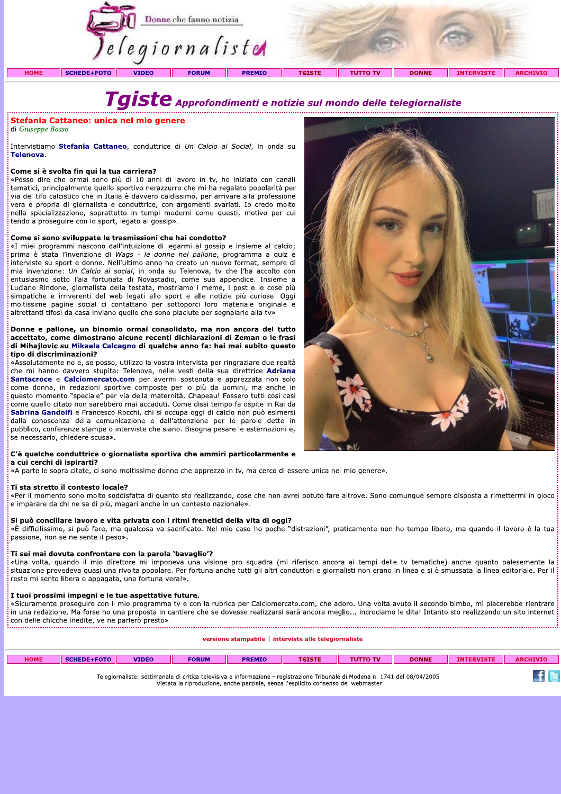|             |                    |              | Donne che fanno notizia<br><i>elegiornaliste</i> |               |               |                 |              |                   |                 |
|-------------|--------------------|--------------|--------------------------------------------------|---------------|---------------|-----------------|--------------|-------------------|-----------------|
| <b>HOME</b> | <b>SCHEDE+FOTO</b> | <b>VIDEO</b> | <b>FORUM</b>                                     | <b>PREMIO</b> | <b>TGISTE</b> | <b>TUTTO TV</b> | <b>DONNE</b> | <b>INTERVISTE</b> | <b>ARCHIVIO</b> |

## $\boldsymbol{T}$ qiste Approfondimenti e notizie sul mondo delle telegiornaliste

### **Stefania Cattaneo: unica nel mio genere**

di Giuseppe Bosso

.<br>Intervistiamo **Stefania Cattaneo**, conduttrice di *Un Calcio ai Social*, in onda su Telenova.

### Come si è svolta fin qui la tua carriera?

«Posso dire che ormai sono più di 10 anni di lavoro in tv, ho iniziato con canali tematici, principalmente quello sportivo nerazzurro che mi ha regalato popolarità per via del tifo calcistico che in Italia è davvero caldissimo, per arrivare alla professione vera e propria di giornalista e conduttrice, con argomenti svariati. Io credo molto nella specializzazione, soprattutto in tempi moderni come questi, motivo per cui tendo a proseguire con lo sport, legato al gossip».

### Come si sono sviluppate le trasmissioni che hai condotto?

«I miei programmi nascono dall'intuizione di legarmi al gossip e insieme al calcio; prima è stata l'invenzione di Wags - le donne nel pallone, programma a quiz e interviste su sport e donne. Nell'ultimo anno ho creato un nuovo format, sempre di mia invenzione: Un Calcio ai social, in onda su Telenova, tv che l'ha accolto con entusiasmo sotto l'ala fortunata di Novastadio, come sua appendice. Insieme a Luciano Rindone, giornalista della testata, mostriamo i meme, i post e le cose più simpatiche e irriverenti del web legati allo sport e alle notizie più curiose. Oggi moltissime pagine social ci contattano per sottoporci loro materiale originale e altrettanti tifosi da casa inviano quelle che sono piaciute per segnalarle alla tv»

### Donne e pallone, un binomio ormai consolidato, ma non ancora del tutto accettato, come dimostrano alcune recenti dichiarazioni di Zeman o le frasi di Mihajlovic su Mikaela Calcagno di qualche anno fa: hai mai subito questo tipo di discriminazioni?

«Assolutamente no e, se posso, utilizzo la vostra intervista per ringraziare due realtà che mi hanno davvero stupita: Telenova, nelle vesti della sua direttrice Adriana Santacroce e Calciomercato.com per avermi sostenuta e apprezzata non solo come donna, in redazioni sportive composte per lo più da uomini, ma anche in questo momento "speciale" per via della maternità. Chapeau! Fossero tutti così casi come quello citato non sarebbero mai accaduti. Come dissi tempo fa ospite in Rai da Sabrina Gandolfi e Francesco Rocchi, chi si occupa oggi di calcio non può esimersi dalla conoscenza della comunicazione e dall'attenzione per le parole dette in pubblico, conferenze stampe o interviste che siano. Bisogna pesare le esternazioni e, se necessario, chiedere scusa».

### .<br>C'è qualche conduttrice o giornalista sportiva che ammiri particolarmente e a cui cerchi di ispirarti?

«A parte le sopra citate, ci sono moltissime donne che apprezzo in tv, ma cerco di essere unica nel mio genere».

### Ti sta stretto il contesto locale?

«Per il momento sono molto soddisfatta di quanto sto realizzando, cose che non avrei potuto fare altrove. Sono comunque sempre disposta a rimettermi in gioco e imparare da chi ne sa di più, magari anche in un contesto nazionale».

### Si può conciliare lavoro e vita privata con i ritmi frenetici della vita di oggi?

«È difficilissimo, si può fare, ma qualcosa va sacrificato. Nel mio caso ho poche "distrazioni", praticamente non ho tempo libero, ma quando il lavoro è la tua passione, non se ne sente il peso».

### .<br>Ti sei mai dovuta confrontare con la parola `bavaglio'?

«Una volta, quando il mio direttore mi imponeva una visione pro squadra (mi riferisco ancora ai tempi delle tv tematiche) anche quanto palesemente la situazione prevedeva quasi una rivolta popolare. Per fortuna anche tutti gli altri conduttori e giornalisti non erano in linea e si è smussata la linea editoriale. Per il resto mi sento libera e appagata, una fortuna vera!».

### I tuoi prossimi impegni e le tue aspettative future.

«Sicuramente proseguire con il mio programma tv e con la rubrica per Calciomercato.com, che adoro. Una volta avuto il secondo bimbo, mi piacerebbe rientrare in una redazione. Ma forse ho una proposta in cantiere che se dovesse realizzarsi sarà ancora meglio... incrociamo le dita! Intanto sto realizzando un sito internet 

versione stampabile | interviste alle telegiornaliste

| <b>HOME</b> | SCHEDE+FOTO | <b>VIDEO</b> | <b>FORUM</b> | <b>PREMIO</b> | <b>TGISTE</b>                                                                                                                | <b>DONNE</b> | <b>INTERVISTE</b> | <b>ARCHIVIO</b> |
|-------------|-------------|--------------|--------------|---------------|------------------------------------------------------------------------------------------------------------------------------|--------------|-------------------|-----------------|
|             |             |              |              |               | Telegiornaliste: settimanale di critica televisiva e informazione - registrazione Tribunale di Modena n. 1741 del 08/04/2005 |              |                   |                 |

Vietata la riproduzione, anche parziale, senza l'esplicito consenso del webmaster

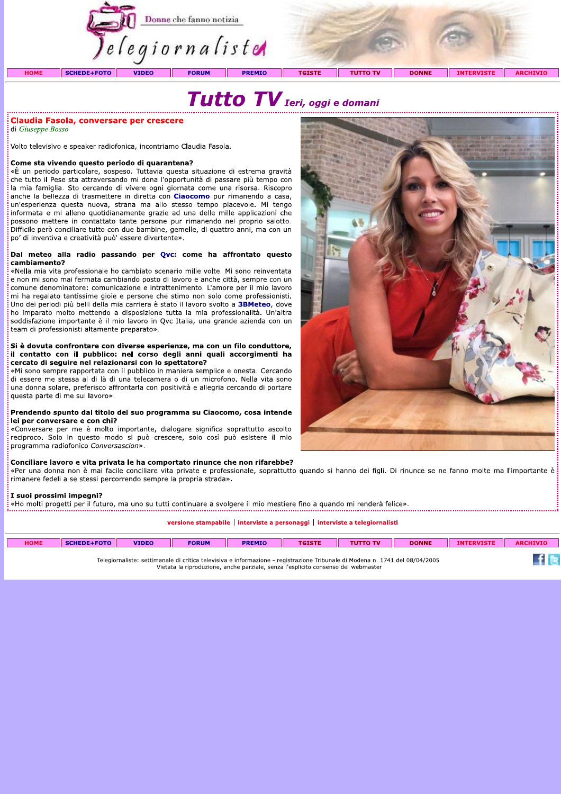

# Tutto TV Ieri, oggi e domani

### Claudia Fasola, conversare per crescere

di Giuseppe Bosso

.<br>Volto televisivo e speaker radiofonica, incontriamo Claudia Fasola.

### Come sta vivendo questo periodo di quarantena?

«È un periodo particolare, sospeso. Tuttavia questa situazione di estrema gravità che tutto il Pese sta attraversando mi dona l'opportunità di passare più tempo con la mia famiglia. Sto cercando di vivere ogni giornata come una risorsa. Riscopro anche la bellezza di trasmettere in diretta con Ciaocomo pur rimanendo a casa, un'esperienza questa nuova, strana ma allo stesso tempo piacevole. Mi tengo informata e mi alleno quotidianamente grazie ad una delle mille applicazioni che possono mettere in contattato tante persone pur rimanendo nel proprio salotto. Difficile però conciliare tutto con due bambine, gemelle, di quattro anni, ma con un po' di inventiva e creatività può' essere divertente».

### Dal meteo alla radio passando per Ovc: come ha affrontato questo cambiamento?

«Nella mia vita professionale ho cambiato scenario mille volte. Mi sono reinventata e non mi sono mai fermata cambiando posto di lavoro e anche città, sempre con un comune denominatore: comunicazione e intrattenimento. L'amore per il mio lavoro mi ha regalato tantissime gioie e persone che stimo non solo come professionisti. Uno dei periodi più belli della mia carriera è stato il lavoro svolto a 3BMeteo, dove ho imparato molto mettendo a disposizione tutta la mia professionalità. Un'altra soddisfazione importante è il mio lavoro in Qvc Italia, una grande azienda con un team di professionisti altamente preparato».

### Si è dovuta confrontare con diverse esperienze, ma con un filo conduttore, il contatto con il pubblico: nel corso degli anni quali accorgimenti ha cercato di seguire nel relazionarsi con lo spettatore?

«Mi sono sempre rapportata con il pubblico in maniera semplice e onesta. Cercando di essere me stessa al di là di una telecamera o di un microfono. Nella vita sono una donna solare, preferisco affrontarla con positività e allegria cercando di portare questa parte di me sul lavoro».

### Prendendo spunto dal titolo del suo programma su Ciaocomo, cosa intende lei per conversare e con chi?

«Conversare per me è molto importante, dialogare significa soprattutto ascolto reciproco. Solo in questo modo si può crescere, solo così può esistere il mio programma radiofonico Conversascion».

### Conciliare lavoro e vita privata le ha comportato rinunce che non rifarebbe?

«Per una donna non è mai facile conciliare vita private e professionale, soprattutto quando si hanno dei figli. Di rinunce se ne fanno molte ma l'importante è rimanere fedeli a se stessi percorrendo sempre la propria strada».

### I suoi prossimi impegni?

«Ho molti progetti per il futuro, ma uno su tutti continuare a svolgere il mio mestiere fino a quando mi renderà felice».

### versione stampabile | interviste a personaggi | interviste a telegiornalisti

| <b>HOME</b> | <b>SCHEDE+FOTO</b> | <b>VIDEO</b> | <b>FORUM</b>                                                                                                                 | <b>PREMIO</b> | <b>TGISTE</b> | <b>TUTTO TV</b> | <b>DONNE</b> | <b>INTERVISTE</b> | <b>ARCHIVIO</b> |
|-------------|--------------------|--------------|------------------------------------------------------------------------------------------------------------------------------|---------------|---------------|-----------------|--------------|-------------------|-----------------|
|             |                    |              |                                                                                                                              |               |               |                 |              |                   |                 |
|             |                    |              | Telegiornaliste: settimanale di critica televisiva e informazione - registrazione Tribunale di Modena n. 1741 del 08/04/2005 |               |               |                 |              |                   |                 |

Vietata la riproduzione, anche parziale, senza l'esplicito consenso del webmaster